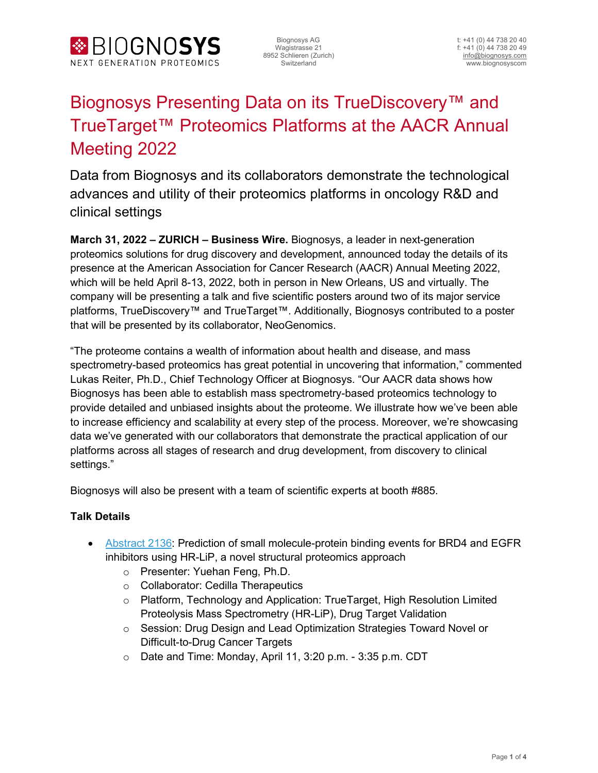

# Biognosys Presenting Data on its TrueDiscovery™ and TrueTarget™ Proteomics Platforms at the AACR Annual Meeting 2022

Data from Biognosys and its collaborators demonstrate the technological advances and utility of their proteomics platforms in oncology R&D and clinical settings

**March 31, 2022 – ZURICH – Business Wire.** Biognosys, a leader in next-generation proteomics solutions for drug discovery and development, announced today the details of its presence at the American Association for Cancer Research (AACR) Annual Meeting 2022, which will be held April 8-13, 2022, both in person in New Orleans, US and virtually. The company will be presenting a talk and five scientific posters around two of its major service platforms, TrueDiscovery™ and TrueTarget™. Additionally, Biognosys contributed to a poster that will be presented by its collaborator, NeoGenomics.

"The proteome contains a wealth of information about health and disease, and mass spectrometry-based proteomics has great potential in uncovering that information," commented Lukas Reiter, Ph.D., Chief Technology Officer at Biognosys. "Our AACR data shows how Biognosys has been able to establish mass spectrometry-based proteomics technology to provide detailed and unbiased insights about the proteome. We illustrate how we've been able to increase efficiency and scalability at every step of the process. Moreover, we're showcasing data we've generated with our collaborators that demonstrate the practical application of our platforms across all stages of research and drug development, from discovery to clinical settings."

Biognosys will also be present with a team of scientific experts at booth #885.

#### **Talk Details**

- [Abstract 2136:](https://www.abstractsonline.com/pp8/#!/10517/presentation/13180) Prediction of small molecule-protein binding events for BRD4 and EGFR inhibitors using HR-LiP, a novel structural proteomics approach
	- o Presenter: Yuehan Feng, Ph.D.
	- o Collaborator: Cedilla Therapeutics
	- o Platform, Technology and Application: TrueTarget, High Resolution Limited Proteolysis Mass Spectrometry (HR-LiP), Drug Target Validation
	- o Session: Drug Design and Lead Optimization Strategies Toward Novel or Difficult-to-Drug Cancer Targets
	- o Date and Time: Monday, April 11, 3:20 p.m. 3:35 p.m. CDT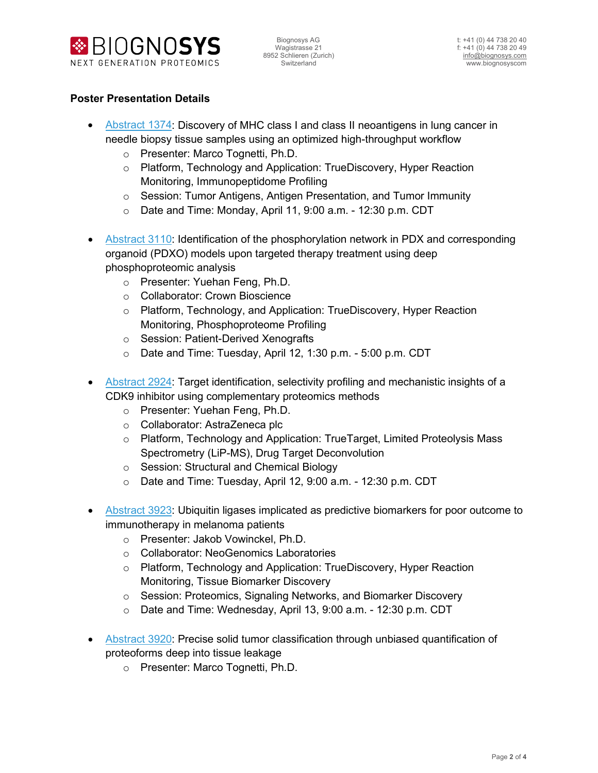



#### **Poster Presentation Details**

- [Abstract 1374:](https://www.abstractsonline.com/pp8/#!/10517/presentation/13916) Discovery of MHC class I and class II neoantigens in lung cancer in needle biopsy tissue samples using an optimized high-throughput workflow
	- o Presenter: Marco Tognetti, Ph.D.
	- o Platform, Technology and Application: TrueDiscovery, Hyper Reaction Monitoring, Immunopeptidome Profiling
	- o Session: Tumor Antigens, Antigen Presentation, and Tumor Immunity
	- o Date and Time: Monday, April 11, 9:00 a.m. 12:30 p.m. CDT
- [Abstract 3110:](https://www.abstractsonline.com/pp8/#!/10517/presentation/14371) Identification of the phosphorylation network in PDX and corresponding organoid (PDXO) models upon targeted therapy treatment using deep phosphoproteomic analysis
	- o Presenter: Yuehan Feng, Ph.D.
	- o Collaborator: Crown Bioscience
	- o Platform, Technology, and Application: TrueDiscovery, Hyper Reaction Monitoring, Phosphoproteome Profiling
	- o Session: Patient-Derived Xenografts
	- o Date and Time: Tuesday, April 12, 1:30 p.m. 5:00 p.m. CDT
- [Abstract 2924:](https://www.abstractsonline.com/pp8/#!/10517/presentation/919) Target identification, selectivity profiling and mechanistic insights of a CDK9 inhibitor using complementary proteomics methods
	- o Presenter: Yuehan Feng, Ph.D.
	- o Collaborator: AstraZeneca plc
	- o Platform, Technology and Application: TrueTarget, Limited Proteolysis Mass Spectrometry (LiP-MS), Drug Target Deconvolution
	- o Session: Structural and Chemical Biology
	- o Date and Time: Tuesday, April 12, 9:00 a.m. 12:30 p.m. CDT
- [Abstract 3923:](https://www.abstractsonline.com/pp8/#!/10517/presentation/12431) Ubiquitin ligases implicated as predictive biomarkers for poor outcome to immunotherapy in melanoma patients
	- o Presenter: Jakob Vowinckel, Ph.D.
	- o Collaborator: NeoGenomics Laboratories
	- o Platform, Technology and Application: TrueDiscovery, Hyper Reaction Monitoring, Tissue Biomarker Discovery
	- o Session: Proteomics, Signaling Networks, and Biomarker Discovery
	- o Date and Time: Wednesday, April 13, 9:00 a.m. 12:30 p.m. CDT
- [Abstract 3920:](https://www.abstractsonline.com/pp8/#!/10517/presentation/12428) Precise solid tumor classification through unbiased quantification of proteoforms deep into tissue leakage
	- o Presenter: Marco Tognetti, Ph.D.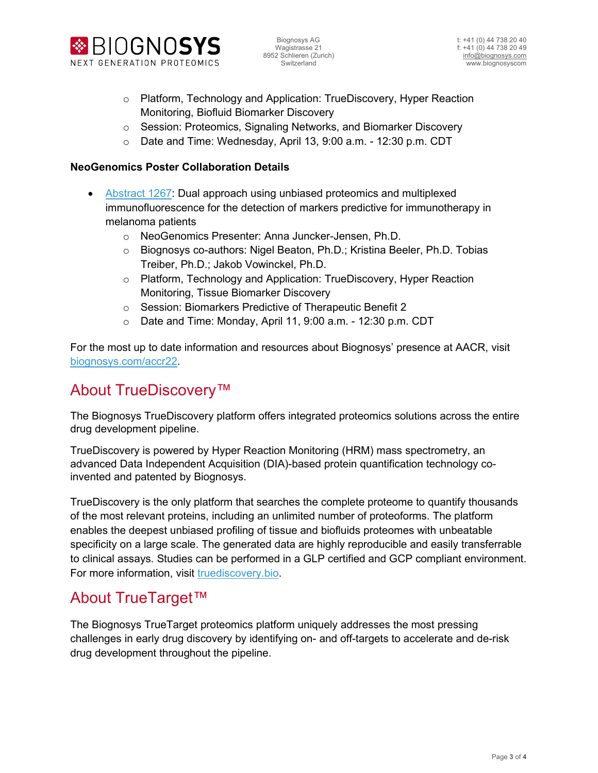



- o Platform, Technology and Application: TrueDiscovery, Hyper Reaction Monitoring, Biofluid Biomarker Discovery
- o Session: Proteomics, Signaling Networks, and Biomarker Discovery
- o Date and Time: Wednesday, April 13, 9:00 a.m. 12:30 p.m. CDT

#### **NeoGenomics Poster Collaboration Details**

- [Abstract 1267:](https://www.abstractsonline.com/pp8/#!/10517/presentation/12683) Dual approach using unbiased proteomics and multiplexed immunofluorescence for the detection of markers predictive for immunotherapy in melanoma patients
	- o NeoGenomics Presenter: Anna Juncker-Jensen, Ph.D.
	- o Biognosys co-authors: Nigel Beaton, Ph.D.; Kristina Beeler, Ph.D. Tobias Treiber, Ph.D.; Jakob Vowinckel, Ph.D.
	- o Platform, Technology and Application: TrueDiscovery, Hyper Reaction Monitoring, Tissue Biomarker Discovery
	- o Session: Biomarkers Predictive of Therapeutic Benefit 2
	- o Date and Time: Monday, April 11, 9:00 a.m. 12:30 p.m. CDT

For the most up to date information and resources about Biognosys' presence at AACR, visit [biognosys.com/accr22.](https://biognosys.com/aacr22)

### About TrueDiscovery™

The Biognosys TrueDiscovery platform offers integrated proteomics solutions across the entire drug development pipeline.

TrueDiscovery is powered by Hyper Reaction Monitoring (HRM) mass spectrometry, an advanced Data Independent Acquisition (DIA)-based protein quantification technology coinvented and patented by Biognosys.

TrueDiscovery is the only platform that searches the complete proteome to quantify thousands of the most relevant proteins, including an unlimited number of proteoforms. The platform enables the deepest unbiased profiling of tissue and biofluids proteomes with unbeatable specificity on a large scale. The generated data are highly reproducible and easily transferrable to clinical assays. Studies can be performed in a GLP certified and GCP compliant environment. For more information, visit [truediscovery.bio.](http://truediscovery.bio/)

### About TrueTarget™

The Biognosys TrueTarget proteomics platform uniquely addresses the most pressing challenges in early drug discovery by identifying on- and off-targets to accelerate and de-risk drug development throughout the pipeline.